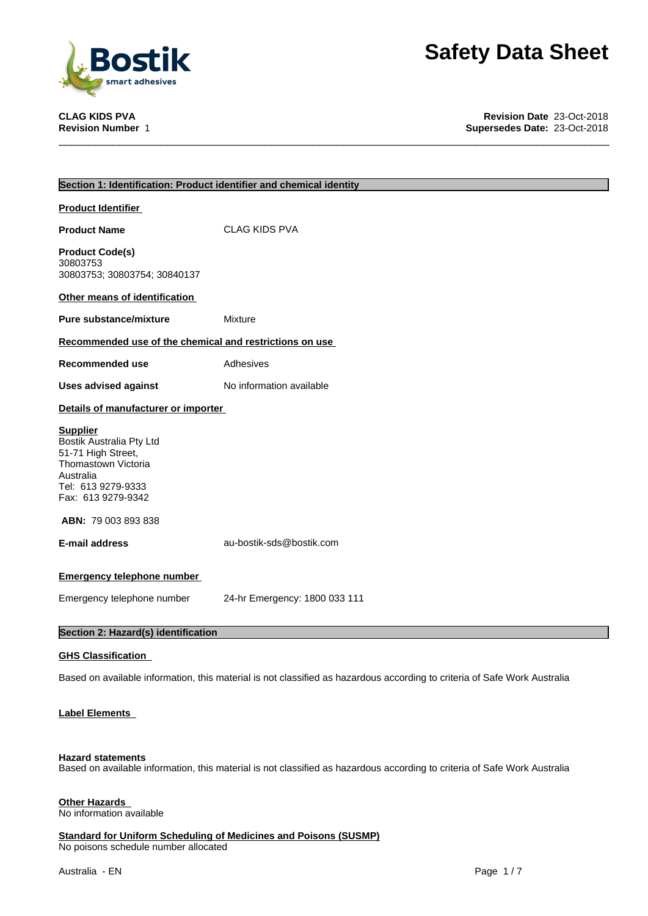

**CLAG KIDS PVA Revision Date** 23-Oct-2018 **Supersedes Date: 23-Oct-2018** 

| Section 1: Identification: Product identifier and chemical identity                                                                               |                                                                                                                           |
|---------------------------------------------------------------------------------------------------------------------------------------------------|---------------------------------------------------------------------------------------------------------------------------|
| <b>Product Identifier</b>                                                                                                                         |                                                                                                                           |
| <b>Product Name</b>                                                                                                                               | <b>CLAG KIDS PVA</b>                                                                                                      |
| <b>Product Code(s)</b><br>30803753<br>30803753; 30803754; 30840137                                                                                |                                                                                                                           |
| Other means of identification                                                                                                                     |                                                                                                                           |
| <b>Pure substance/mixture</b>                                                                                                                     | Mixture                                                                                                                   |
| Recommended use of the chemical and restrictions on use                                                                                           |                                                                                                                           |
| <b>Recommended use</b>                                                                                                                            | Adhesives                                                                                                                 |
| <b>Uses advised against</b>                                                                                                                       | No information available                                                                                                  |
| Details of manufacturer or importer                                                                                                               |                                                                                                                           |
| <b>Supplier</b><br>Bostik Australia Pty Ltd<br>51-71 High Street,<br>Thomastown Victoria<br>Australia<br>Tel: 613 9279-9333<br>Fax: 613 9279-9342 |                                                                                                                           |
| <b>ABN: 79 003 893 838</b>                                                                                                                        |                                                                                                                           |
| <b>E-mail address</b>                                                                                                                             | au-bostik-sds@bostik.com                                                                                                  |
| <b>Emergency telephone number</b>                                                                                                                 |                                                                                                                           |
| Emergency telephone number                                                                                                                        | 24-hr Emergency: 1800 033 111                                                                                             |
| Section 2: Hazard(s) identification                                                                                                               |                                                                                                                           |
| <b>GHS Classification</b>                                                                                                                         |                                                                                                                           |
|                                                                                                                                                   | Based on available information, this material is not classified as hazardous according to criteria of Safe Work Australia |

## **Label Elements**

### **Hazard statements**

Based on available information, this material is not classified as hazardous according to criteria of Safe Work Australia

#### **Other Hazards**

No information available

**Standard for Uniform Scheduling of Medicines and Poisons (SUSMP)**

No poisons schedule number allocated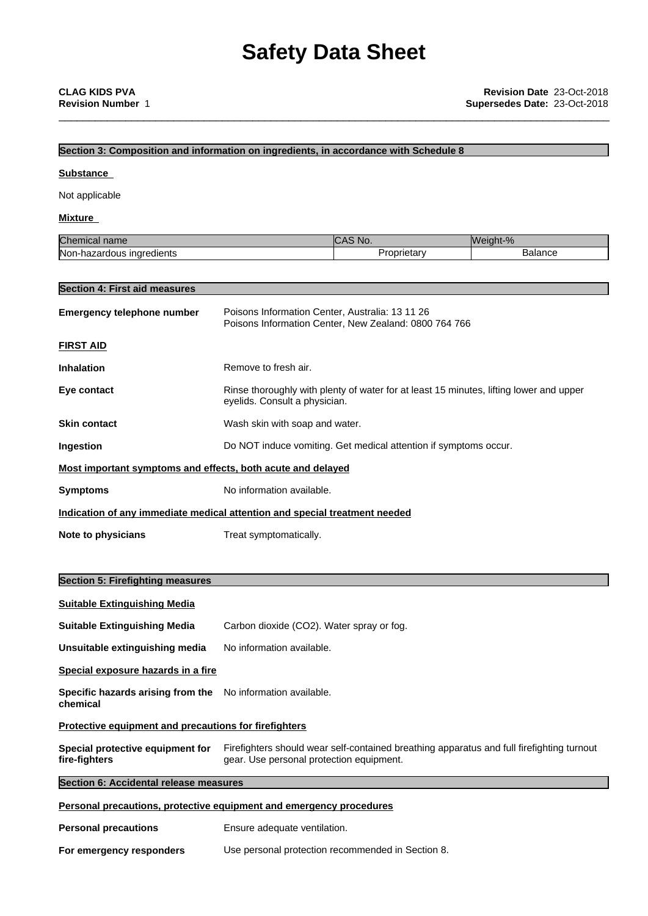## **Section 3: Composition and information on ingredients, in accordance with Schedule 8**

## **Substance**

Not applicable

## **Mixture**

| Chemical name                     | NO.                | $\Omega$<br>IWeiaht-% |
|-----------------------------------|--------------------|-----------------------|
| Non-hazar<br>inaredients<br>rdous | <b>Proprietary</b> | nnnc<br>.<br>Dalalice |

## **Section 4: First aid measures**

| <b>Emergency telephone number</b>                           | Poisons Information Center, Australia: 13 11 26<br>Poisons Information Center, New Zealand: 0800 764 766                |
|-------------------------------------------------------------|-------------------------------------------------------------------------------------------------------------------------|
| <b>FIRST AID</b>                                            |                                                                                                                         |
| <b>Inhalation</b>                                           | Remove to fresh air.                                                                                                    |
| Eye contact                                                 | Rinse thoroughly with plenty of water for at least 15 minutes, lifting lower and upper<br>eyelids. Consult a physician. |
| <b>Skin contact</b>                                         | Wash skin with soap and water.                                                                                          |
| <b>Ingestion</b>                                            | Do NOT induce vomiting. Get medical attention if symptoms occur.                                                        |
| Most important symptoms and effects, both acute and delayed |                                                                                                                         |
| <b>Symptoms</b>                                             | No information available.                                                                                               |
|                                                             | Indication of any immediate medical attention and special treatment needed                                              |
| Note to physicians                                          | Treat symptomatically.                                                                                                  |

## **Section 5: Firefighting measures**

| <b>Suitable Extinguishing Media</b>                                     |                                                                                                                                       |  |  |
|-------------------------------------------------------------------------|---------------------------------------------------------------------------------------------------------------------------------------|--|--|
| <b>Suitable Extinguishing Media</b>                                     | Carbon dioxide (CO2). Water spray or fog.                                                                                             |  |  |
| Unsuitable extinguishing media                                          | No information available.                                                                                                             |  |  |
| Special exposure hazards in a fire                                      |                                                                                                                                       |  |  |
| Specific hazards arising from the No information available.<br>chemical |                                                                                                                                       |  |  |
| <b>Protective equipment and precautions for firefighters</b>            |                                                                                                                                       |  |  |
| Special protective equipment for<br>fire-fighters                       | Firefighters should wear self-contained breathing apparatus and full firefighting turnout<br>gear. Use personal protection equipment. |  |  |
| Section 6: Accidental release measures                                  |                                                                                                                                       |  |  |
|                                                                         | <b>Personal precautions, protective equipment and emergency procedures</b>                                                            |  |  |
| <b>Personal precautions</b>                                             | Ensure adequate ventilation.                                                                                                          |  |  |
| For emergency responders                                                | Use personal protection recommended in Section 8.                                                                                     |  |  |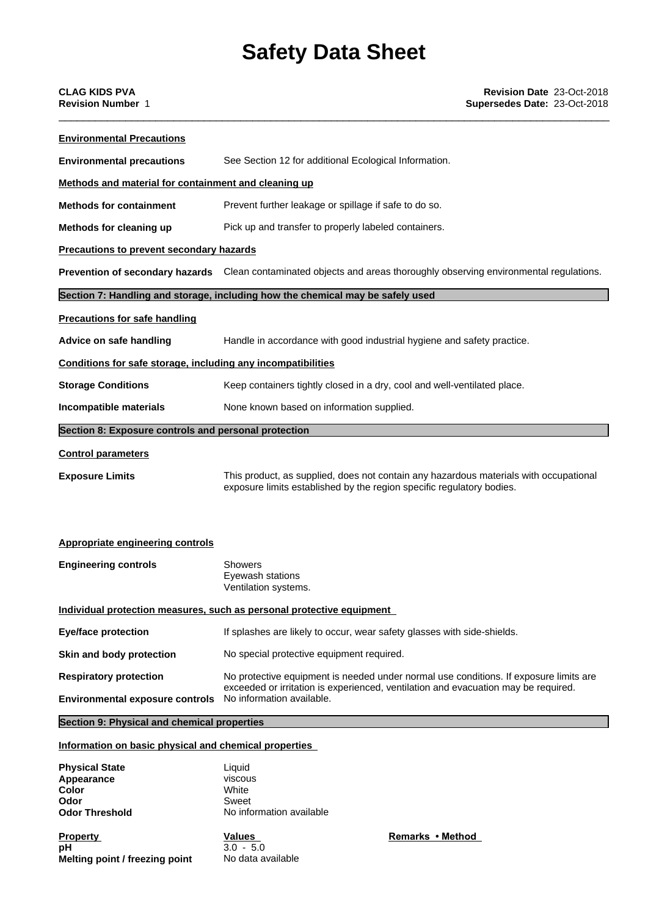| <b>CLAG KIDS PVA</b><br><b>Revision Number 1</b>                              | Revision Date 23-Oct-2018<br>Supersedes Date: 23-Oct-2018                                                                                                      |  |  |
|-------------------------------------------------------------------------------|----------------------------------------------------------------------------------------------------------------------------------------------------------------|--|--|
| <b>Environmental Precautions</b>                                              |                                                                                                                                                                |  |  |
| <b>Environmental precautions</b>                                              | See Section 12 for additional Ecological Information.                                                                                                          |  |  |
| Methods and material for containment and cleaning up                          |                                                                                                                                                                |  |  |
| <b>Methods for containment</b>                                                | Prevent further leakage or spillage if safe to do so.                                                                                                          |  |  |
| Methods for cleaning up                                                       | Pick up and transfer to properly labeled containers.                                                                                                           |  |  |
| <b>Precautions to prevent secondary hazards</b>                               |                                                                                                                                                                |  |  |
|                                                                               | <b>Prevention of secondary hazards</b> Clean contaminated objects and areas thoroughly observing environmental regulations.                                    |  |  |
|                                                                               | Section 7: Handling and storage, including how the chemical may be safely used                                                                                 |  |  |
| <b>Precautions for safe handling</b>                                          |                                                                                                                                                                |  |  |
| Advice on safe handling                                                       | Handle in accordance with good industrial hygiene and safety practice.                                                                                         |  |  |
| Conditions for safe storage, including any incompatibilities                  |                                                                                                                                                                |  |  |
| <b>Storage Conditions</b>                                                     | Keep containers tightly closed in a dry, cool and well-ventilated place.                                                                                       |  |  |
| Incompatible materials                                                        | None known based on information supplied.                                                                                                                      |  |  |
| Section 8: Exposure controls and personal protection                          |                                                                                                                                                                |  |  |
| <b>Control parameters</b>                                                     |                                                                                                                                                                |  |  |
| <b>Exposure Limits</b>                                                        | This product, as supplied, does not contain any hazardous materials with occupational<br>exposure limits established by the region specific regulatory bodies. |  |  |
| <b>Appropriate engineering controls</b>                                       |                                                                                                                                                                |  |  |
| <b>Engineering controls</b>                                                   | Showers<br>Eyewash stations<br>Ventilation systems.                                                                                                            |  |  |
|                                                                               | Individual protection measures, such as personal protective equipment                                                                                          |  |  |
| <b>Eye/face protection</b>                                                    | If splashes are likely to occur, wear safety glasses with side-shields.                                                                                        |  |  |
| Skin and body protection                                                      | No special protective equipment required.                                                                                                                      |  |  |
| <b>Respiratory protection</b>                                                 | No protective equipment is needed under normal use conditions. If exposure limits are                                                                          |  |  |
| <b>Environmental exposure controls</b>                                        | exceeded or irritation is experienced, ventilation and evacuation may be required.<br>No information available.                                                |  |  |
| Section 9: Physical and chemical properties                                   |                                                                                                                                                                |  |  |
| Information on basic physical and chemical properties                         |                                                                                                                                                                |  |  |
| <b>Physical State</b><br>Appearance<br>Color<br>Odor<br><b>Odor Threshold</b> | Liquid<br>viscous<br>White<br>Sweet<br>No information available                                                                                                |  |  |
| <b>Property</b><br>рH                                                         | Remarks • Method<br>Values<br>$3.0 - 5.0$                                                                                                                      |  |  |

**Melting point / freezing point** No data available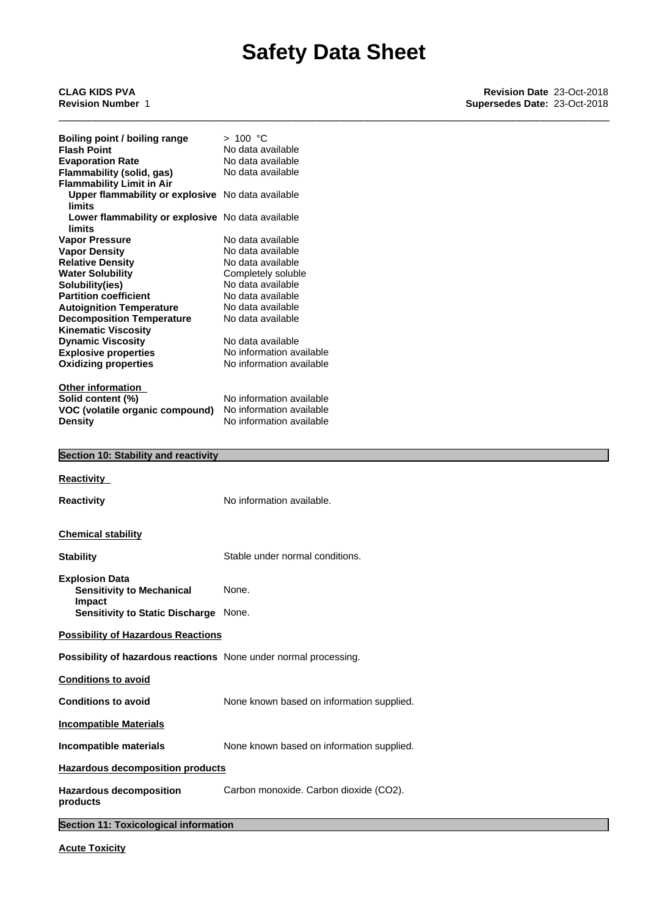| Boiling point / boiling range                     | >100 °C                  |
|---------------------------------------------------|--------------------------|
| <b>Flash Point</b>                                | No data available        |
| <b>Evaporation Rate</b>                           | No data available        |
| Flammability (solid, gas)                         | No data available        |
| <b>Flammability Limit in Air</b>                  |                          |
| Upper flammability or explosive No data available |                          |
| limits                                            |                          |
| Lower flammability or explosive No data available |                          |
| limits                                            |                          |
| <b>Vapor Pressure</b>                             | No data available        |
| <b>Vapor Density</b>                              | No data available        |
| <b>Relative Density</b>                           | No data available        |
| <b>Water Solubility</b>                           | Completely soluble       |
| Solubility(ies)                                   | No data available        |
| <b>Partition coefficient</b>                      | No data available        |
| <b>Autoignition Temperature</b>                   | No data available        |
| <b>Decomposition Temperature</b>                  | No data available        |
| <b>Kinematic Viscosity</b>                        |                          |
| <b>Dynamic Viscosity</b>                          | No data available        |
| <b>Explosive properties</b>                       | No information available |
| <b>Oxidizing properties</b>                       | No information available |
|                                                   |                          |
| <b>Other information</b>                          |                          |
| Solid content (%)                                 | No information available |
| VOC (volatile organic compound)                   | No information available |
| <b>Density</b>                                    | No information available |

|  | Section 10: Stability and reactivity |  |
|--|--------------------------------------|--|
|  |                                      |  |

| Reactivity                                                          |                                           |
|---------------------------------------------------------------------|-------------------------------------------|
| <b>Reactivity</b>                                                   | No information available.                 |
| <b>Chemical stability</b>                                           |                                           |
| <b>Stability</b>                                                    | Stable under normal conditions.           |
| <b>Explosion Data</b><br><b>Sensitivity to Mechanical</b><br>Impact | None.                                     |
| Sensitivity to Static Discharge None.                               |                                           |
| <b>Possibility of Hazardous Reactions</b>                           |                                           |
| Possibility of hazardous reactions None under normal processing.    |                                           |
| <b>Conditions to avoid</b>                                          |                                           |
| <b>Conditions to avoid</b>                                          | None known based on information supplied. |
| <b>Incompatible Materials</b>                                       |                                           |
| Incompatible materials                                              | None known based on information supplied. |
| <b>Hazardous decomposition products</b>                             |                                           |
| <b>Hazardous decomposition</b><br>products                          | Carbon monoxide. Carbon dioxide (CO2).    |
| <b>Section 11: Toxicological information</b>                        |                                           |

**Acute Toxicity**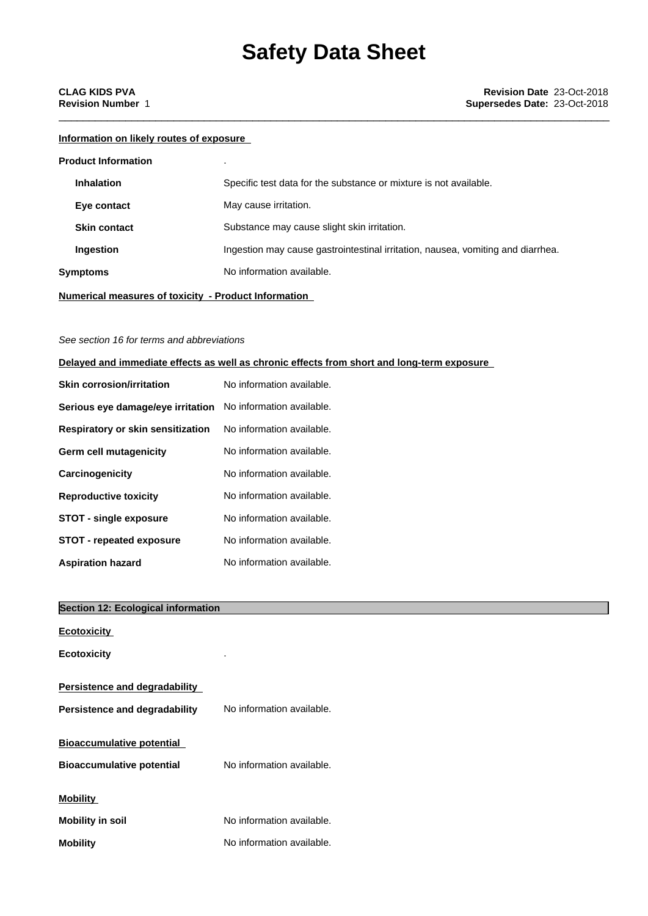## **Information on likely routes of exposure**

| <b>Product Information</b> | ٠                                                                               |
|----------------------------|---------------------------------------------------------------------------------|
| <b>Inhalation</b>          | Specific test data for the substance or mixture is not available.               |
| Eye contact                | May cause irritation.                                                           |
| <b>Skin contact</b>        | Substance may cause slight skin irritation.                                     |
| Ingestion                  | Ingestion may cause gastrointestinal irritation, nausea, vomiting and diarrhea. |
| <b>Symptoms</b>            | No information available.                                                       |
|                            | Numerical measures of toxicity - Product Information                            |

## *See section 16 for terms and abbreviations*

## **Delayed and immediate effects as well as chronic effects from short and long-term exposure**

| <b>Skin corrosion/irritation</b>                                   | No information available. |
|--------------------------------------------------------------------|---------------------------|
| <b>Serious eye damage/eye irritation</b> No information available. |                           |
| <b>Respiratory or skin sensitization</b>                           | No information available. |
| Germ cell mutagenicity                                             | No information available. |
| Carcinogenicity                                                    | No information available. |
| <b>Reproductive toxicity</b>                                       | No information available. |
| <b>STOT - single exposure</b>                                      | No information available. |
| <b>STOT - repeated exposure</b>                                    | No information available. |
| <b>Aspiration hazard</b>                                           | No information available. |

| <b>Section 12: Ecological information</b>                             |                           |
|-----------------------------------------------------------------------|---------------------------|
| <b>Ecotoxicity</b><br><b>Ecotoxicity</b>                              | ٠                         |
| <b>Persistence and degradability</b><br>Persistence and degradability | No information available. |
| <b>Bioaccumulative potential</b><br><b>Bioaccumulative potential</b>  | No information available. |
| <b>Mobility</b>                                                       |                           |
| <b>Mobility in soil</b>                                               | No information available. |
| <b>Mobility</b>                                                       | No information available. |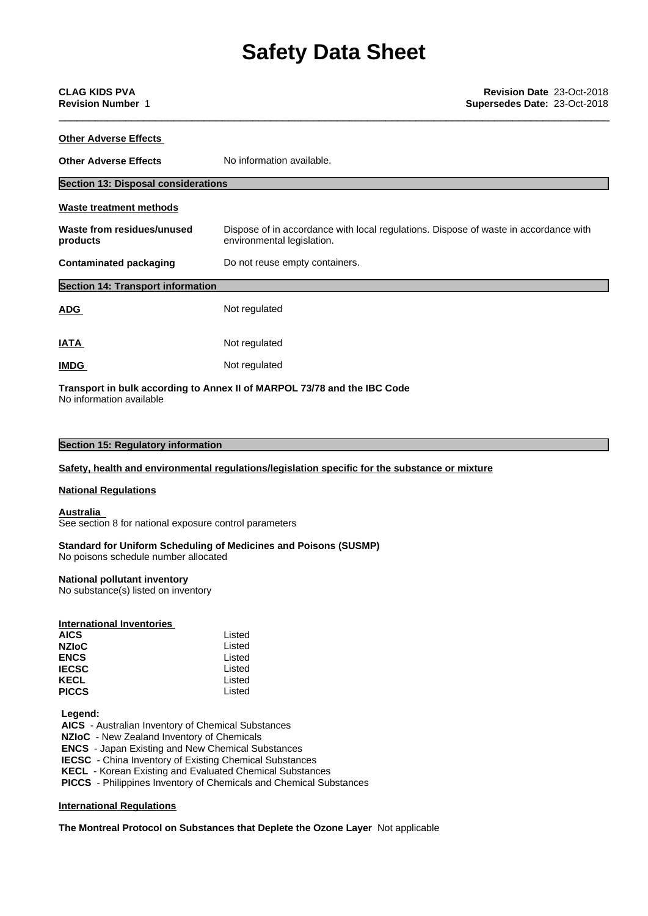| <b>CLAG KIDS PVA</b>                       | Revision Date 23-Oct-2018                                                                                          |
|--------------------------------------------|--------------------------------------------------------------------------------------------------------------------|
| <b>Revision Number 1</b>                   | Supersedes Date: 23-Oct-2018                                                                                       |
| <b>Other Adverse Effects</b>               |                                                                                                                    |
| <b>Other Adverse Effects</b>               | No information available.                                                                                          |
| <b>Section 13: Disposal considerations</b> |                                                                                                                    |
| <b>Waste treatment methods</b>             |                                                                                                                    |
| Waste from residues/unused<br>products     | Dispose of in accordance with local regulations. Dispose of waste in accordance with<br>environmental legislation. |
| <b>Contaminated packaging</b>              | Do not reuse empty containers.                                                                                     |
| <b>Section 14: Transport information</b>   |                                                                                                                    |
| <b>ADG</b>                                 | Not regulated                                                                                                      |
| <b>IATA</b>                                | Not regulated                                                                                                      |
| <b>IMDG</b>                                | Not regulated                                                                                                      |
|                                            | Transport in bulk according to Annex II of MARPOL 73/78 and the IBC Code                                           |

No information available

|  | <b>Section 15: Regulatory information</b> |
|--|-------------------------------------------|
|  |                                           |

**Safety, health and environmental regulations/legislation specific for the substance or mixture**

### **National Regulations**

**Australia**

See section 8 for national exposure control parameters

## **Standard for Uniform Scheduling of Medicines and Poisons (SUSMP)**

No poisons schedule number allocated

### **National pollutant inventory**

No substance(s) listed on inventory

| Listed |                           |
|--------|---------------------------|
| Listed |                           |
| Listed |                           |
| Listed |                           |
| Listed |                           |
| Listed |                           |
|        | International Inventories |

 **Legend:**

 **AICS** - Australian Inventory of Chemical Substances

 **NZIoC** - New Zealand Inventory of Chemicals

 **ENCS** - Japan Existing and New Chemical Substances

 **IECSC** - China Inventory of Existing Chemical Substances

 **KECL** - Korean Existing and Evaluated Chemical Substances

 **PICCS** - Philippines Inventory of Chemicals and Chemical Substances

### **International Regulations**

**The Montreal Protocol on Substances that Deplete the Ozone Layer** Notapplicable